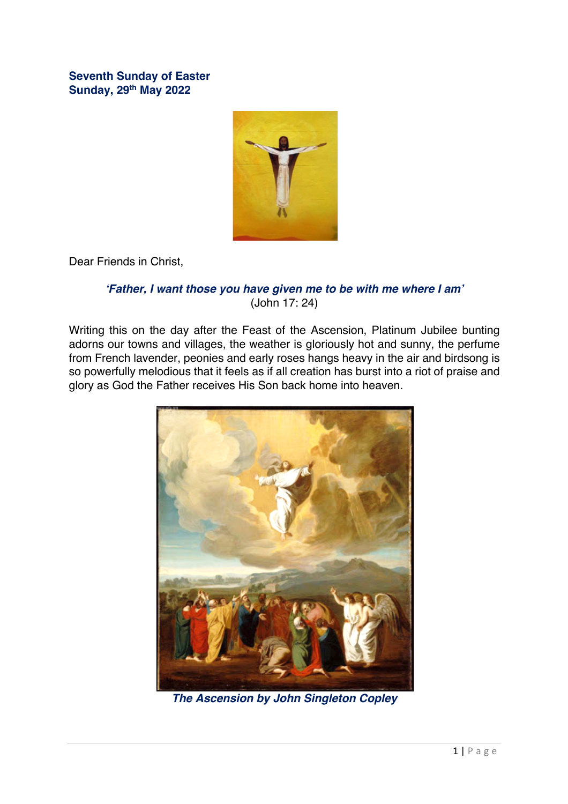**Seventh Sunday of Easter Sunday, 29th May 2022**



Dear Friends in Christ,

## *'Father, I want those you have given me to be with me where I am'* (John 17: 24)

Writing this on the day after the Feast of the Ascension, Platinum Jubilee bunting adorns our towns and villages, the weather is gloriously hot and sunny, the perfume from French lavender, peonies and early roses hangs heavy in the air and birdsong is so powerfully melodious that it feels as if all creation has burst into a riot of praise and glory as God the Father receives His Son back home into heaven.



*The Ascension by John Singleton Copley*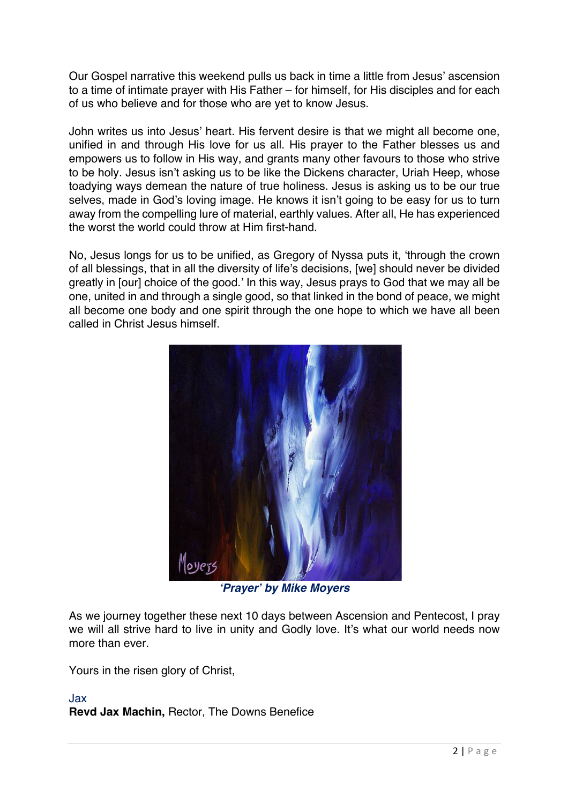Our Gospel narrative this weekend pulls us back in time a little from Jesus' ascension to a time of intimate prayer with His Father – for himself, for His disciples and for each of us who believe and for those who are yet to know Jesus.

John writes us into Jesus' heart. His fervent desire is that we might all become one, unified in and through His love for us all. His prayer to the Father blesses us and empowers us to follow in His way, and grants many other favours to those who strive to be holy. Jesus isn't asking us to be like the Dickens character, Uriah Heep, whose toadying ways demean the nature of true holiness. Jesus is asking us to be our true selves, made in God's loving image. He knows it isn't going to be easy for us to turn away from the compelling lure of material, earthly values. After all, He has experienced the worst the world could throw at Him first-hand.

No, Jesus longs for us to be unified, as Gregory of Nyssa puts it, 'through the crown of all blessings, that in all the diversity of life's decisions, [we] should never be divided greatly in [our] choice of the good.' In this way, Jesus prays to God that we may all be one, united in and through a single good, so that linked in the bond of peace, we might all become one body and one spirit through the one hope to which we have all been called in Christ Jesus himself.



*'Prayer' by Mike Moyers*

As we journey together these next 10 days between Ascension and Pentecost, I pray we will all strive hard to live in unity and Godly love. It's what our world needs now more than ever.

Yours in the risen glory of Christ,

#### Jax **Revd Jax Machin,** Rector, The Downs Benefice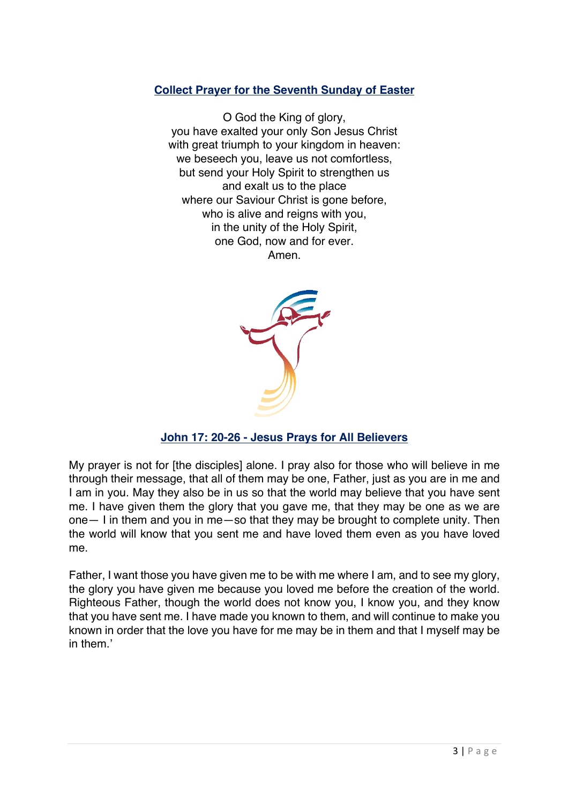## **Collect Prayer for the Seventh Sunday of Easter**

O God the King of glory, you have exalted your only Son Jesus Christ with great triumph to your kingdom in heaven: we beseech you, leave us not comfortless, but send your Holy Spirit to strengthen us and exalt us to the place where our Saviour Christ is gone before, who is alive and reigns with you, in the unity of the Holy Spirit, one God, now and for ever. Amen.



# **John 17: 20-26 - Jesus Prays for All Believers**

My prayer is not for [the disciples] alone. I pray also for those who will believe in me through their message, that all of them may be one, Father, just as you are in me and I am in you. May they also be in us so that the world may believe that you have sent me. I have given them the glory that you gave me, that they may be one as we are one— I in them and you in me—so that they may be brought to complete unity. Then the world will know that you sent me and have loved them even as you have loved me.

Father, I want those you have given me to be with me where I am, and to see my glory, the glory you have given me because you loved me before the creation of the world. Righteous Father, though the world does not know you, I know you, and they know that you have sent me. I have made you known to them, and will continue to make you known in order that the love you have for me may be in them and that I myself may be in them<sup>'</sup>